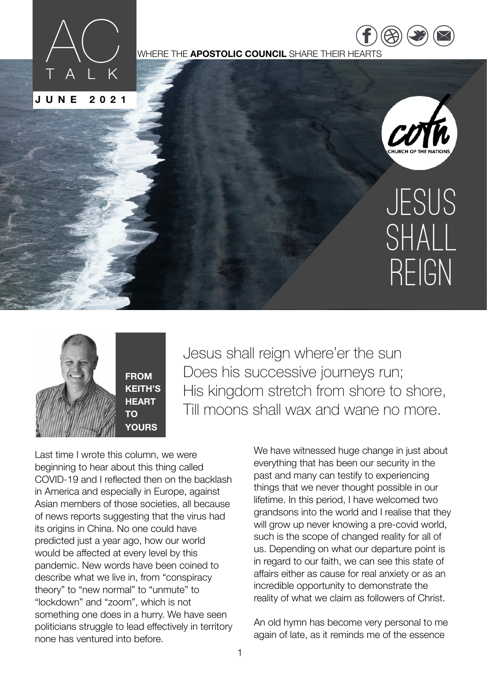

WHERE THE **APOSTOLIC COUNCIL** SHARE THEIR HEARTS



 $\overline{\phantom{a}}$ [twitter.com](https://twitter.com/COTNations) [/](https://twitter.com/COTNations)  $(\triangle \triangle)$  ( $\square$ ) ( $\square$ 

[https://](https://www.facebook.com/COTNATIONS) ww.fac

# JESUS SHALL REIGN



Jesus shall reign where'er the sun Does his successive journeys run; His kingdom stretch from shore to shore, Till moons shall wax and wane no more.

Last time I wrote this column, we were beginning to hear about this thing called COVID-19 and I reflected then on the backlash in America and especially in Europe, against Asian members of those societies, all because of news reports suggesting that the virus had its origins in China. No one could have predicted just a year ago, how our world would be affected at every level by this pandemic. New words have been coined to describe what we live in, from "conspiracy theory" to "new normal" to "unmute" to "lockdown" and "zoom", which is not something one does in a hurry. We have seen politicians struggle to lead effectively in territory none has ventured into before.

We have witnessed huge change in just about everything that has been our security in the past and many can testify to experiencing things that we never thought possible in our lifetime. In this period, I have welcomed two grandsons into the world and I realise that they will grow up never knowing a pre-covid world. such is the scope of changed reality for all of us. Depending on what our departure point is in regard to our faith, we can see this state of affairs either as cause for real anxiety or as an incredible opportunity to demonstrate the reality of what we claim as followers of Christ.

An old hymn has become very personal to me again of late, as it reminds me of the essence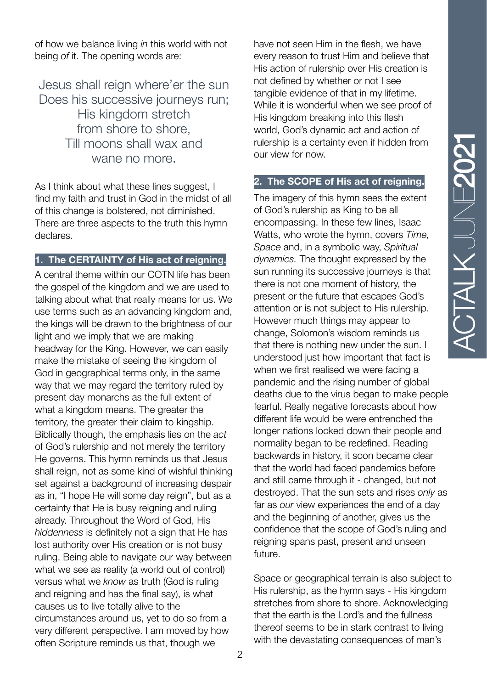of how we balance living *in* this world with not being *of* it. The opening words are:

Jesus shall reign where'er the sun Does his successive journeys run; His kingdom stretch from shore to shore, Till moons shall wax and wane no more.

As I think about what these lines suggest, I find my faith and trust in God in the midst of all of this change is bolstered, not diminished. There are three aspects to the truth this hymn declares.

#### **1. The CERTAINTY of His act of reigning.**

A central theme within our COTN life has been the gospel of the kingdom and we are used to talking about what that really means for us. We use terms such as an advancing kingdom and, the kings will be drawn to the brightness of our light and we imply that we are making headway for the King. However, we can easily make the mistake of seeing the kingdom of God in geographical terms only, in the same way that we may regard the territory ruled by present day monarchs as the full extent of what a kingdom means. The greater the territory, the greater their claim to kingship. Biblically though, the emphasis lies on the *act* of God's rulership and not merely the territory He governs. This hymn reminds us that Jesus shall reign, not as some kind of wishful thinking set against a background of increasing despair as in, "I hope He will some day reign", but as a certainty that He is busy reigning and ruling already. Throughout the Word of God, His *hiddenness* is definitely not a sign that He has lost authority over His creation or is not busy ruling. Being able to navigate our way between what we see as reality (a world out of control) versus what we *know* as truth (God is ruling and reigning and has the final say), is what causes us to live totally alive to the circumstances around us, yet to do so from a very different perspective. I am moved by how often Scripture reminds us that, though we

have not seen Him in the flesh, we have every reason to trust Him and believe that His action of rulership over His creation is not defined by whether or not I see tangible evidence of that in my lifetime. While it is wonderful when we see proof of His kingdom breaking into this flesh world, God's dynamic act and action of rulership is a certainty even if hidden from our view for now.

#### **2. The SCOPE of His act of reigning.**

The imagery of this hymn sees the extent of God's rulership as King to be all encompassing. In these few lines, Isaac Watts, who wrote the hymn, covers *Time, Space* and, in a symbolic way, *Spiritual dynamics.* The thought expressed by the sun running its successive journeys is that there is not one moment of history, the present or the future that escapes God's attention or is not subject to His rulership. However much things may appear to change, Solomon's wisdom reminds us that there is nothing new under the sun. I understood just how important that fact is when we first realised we were facing a pandemic and the rising number of global deaths due to the virus began to make people fearful. Really negative forecasts about how different life would be were entrenched the longer nations locked down their people and normality began to be redefined. Reading backwards in history, it soon became clear that the world had faced pandemics before and still came through it - changed, but not destroyed. That the sun sets and rises *only* as far as *our* view experiences the end of a day and the beginning of another, gives us the confidence that the scope of God's ruling and reigning spans past, present and unseen future.

Space or geographical terrain is also subject to His rulership, as the hymn says - His kingdom stretches from shore to shore. Acknowledging that the earth is the Lord's and the fullness thereof seems to be in stark contrast to living with the devastating consequences of man's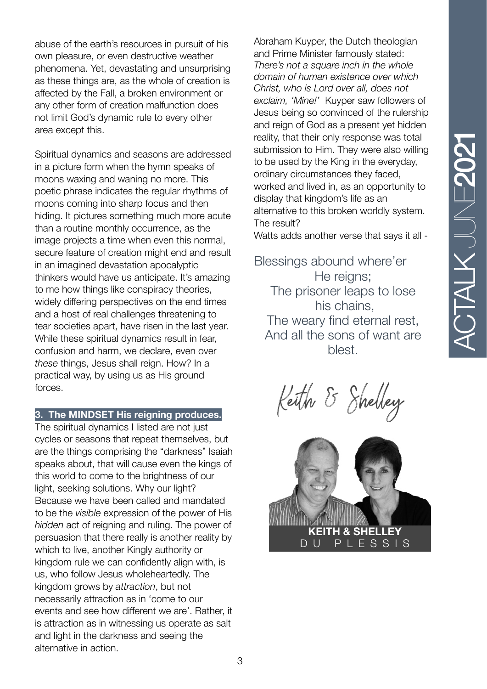abuse of the earth's resources in pursuit of his own pleasure, or even destructive weather phenomena. Yet, devastating and unsurprising as these things are, as the whole of creation is affected by the Fall, a broken environment or any other form of creation malfunction does not limit God's dynamic rule to every other area except this.

Spiritual dynamics and seasons are addressed in a picture form when the hymn speaks of moons waxing and waning no more. This poetic phrase indicates the regular rhythms of moons coming into sharp focus and then hiding. It pictures something much more acute than a routine monthly occurrence, as the image projects a time when even this normal, secure feature of creation might end and result in an imagined devastation apocalyptic thinkers would have us anticipate. It's amazing to me how things like conspiracy theories, widely differing perspectives on the end times and a host of real challenges threatening to tear societies apart, have risen in the last year. While these spiritual dynamics result in fear, confusion and harm, we declare, even over *these* things, Jesus shall reign. How? In a practical way, by using us as His ground forces.

**3. The MINDSET His reigning produces.**

The spiritual dynamics I listed are not just cycles or seasons that repeat themselves, but are the things comprising the "darkness" Isaiah speaks about, that will cause even the kings of this world to come to the brightness of our light, seeking solutions. Why our light? Because we have been called and mandated to be the *visible* expression of the power of His *hidden* act of reigning and ruling. The power of persuasion that there really is another reality by which to live, another Kingly authority or kingdom rule we can confidently align with, is us, who follow Jesus wholeheartedly. The kingdom grows by *attraction*, but not necessarily attraction as in 'come to our events and see how different we are'. Rather, it is attraction as in witnessing us operate as salt and light in the darkness and seeing the alternative in action.

Abraham Kuyper, the Dutch theologian and Prime Minister famously stated: *There's not a square inch in the whole domain of human existence over which Christ, who is Lord over all, does not exclaim, 'Mine!'* Kuyper saw followers of Jesus being so convinced of the rulership and reign of God as a present yet hidden reality, that their only response was total submission to Him. They were also willing to be used by the King in the everyday, ordinary circumstances they faced, worked and lived in, as an opportunity to display that kingdom's life as an alternative to this broken worldly system. The result?

Watts adds another verse that says it all -

Blessings abound where'er He reigns: The prisoner leaps to lose his chains, The weary find eternal rest, And all the sons of want are blest.

Keith & Shelley